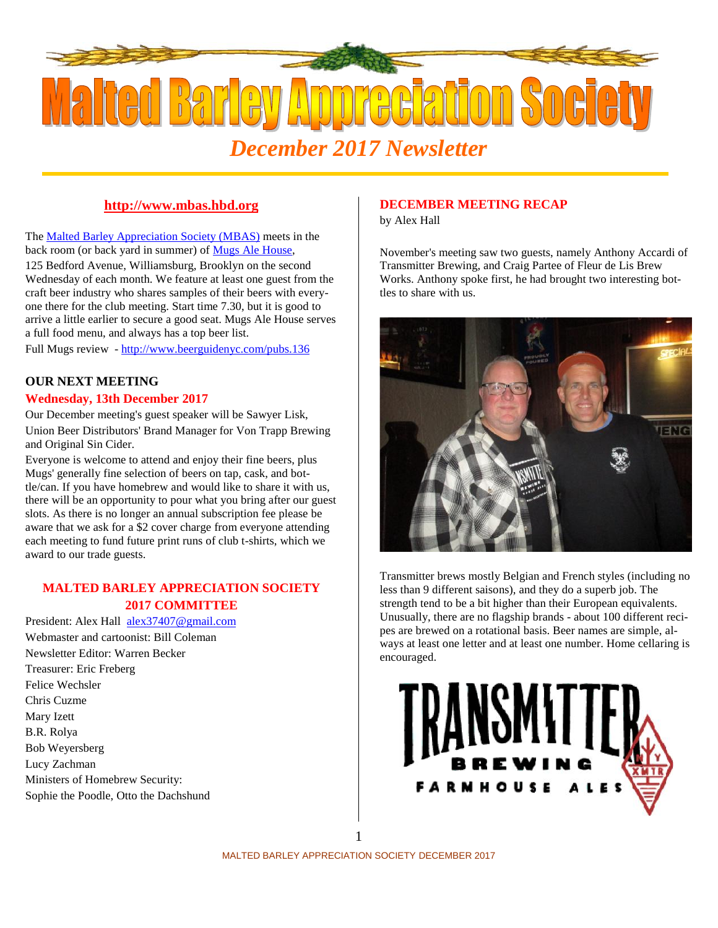

### **http://www.mbas.hbd.org**

The Malted Barley Appreciation Society (MBAS) meets in the back room (or back yard in summer) of Mugs Ale House,

125 Bedford Avenue, Williamsburg, Brooklyn on the second Wednesday of each month. We feature at least one guest from the craft beer industry who shares samples of their beers with everyone there for the club meeting. Start time 7.30, but it is good to arrive a little earlier to secure a good seat. Mugs Ale House serves a full food menu, and always has a top beer list.

Full Mugs review - http://www.beerguidenyc.com/pubs.136

## **OUR NEXT MEETING**

#### **Wednesday, 13th December 2017**

Our December meeting's guest speaker will be Sawyer Lisk,

Union Beer Distributors' Brand Manager for Von Trapp Brewing and Original Sin Cider.

Everyone is welcome to attend and enjoy their fine beers, plus Mugs' generally fine selection of beers on tap, cask, and bottle/can. If you have homebrew and would like to share it with us, there will be an opportunity to pour what you bring after our guest slots. As there is no longer an annual subscription fee please be aware that we ask for a \$2 cover charge from everyone attending each meeting to fund future print runs of club t-shirts, which we award to our trade guests.

## **MALTED BARLEY APPRECIATION SOCIETY 2017 COMMITTEE**

President: Alex Hall alex37407@gmail.com Webmaster and cartoonist: Bill Coleman Newsletter Editor: Warren Becker Treasurer: Eric Freberg Felice Wechsler Chris Cuzme Mary Izett B.R. Rolya Bob Weyersberg Lucy Zachman Ministers of Homebrew Security: Sophie the Poodle, Otto the Dachshund

#### **DECEMBER MEETING RECAP**

by Alex Hall

November's meeting saw two guests, namely Anthony Accardi of Transmitter Brewing, and Craig Partee of Fleur de Lis Brew Works. Anthony spoke first, he had brought two interesting bottles to share with us.



Transmitter brews mostly Belgian and French styles (including no less than 9 different saisons), and they do a superb job. The strength tend to be a bit higher than their European equivalents. Unusually, there are no flagship brands - about 100 different recipes are brewed on a rotational basis. Beer names are simple, always at least one letter and at least one number. Home cellaring is encouraged.

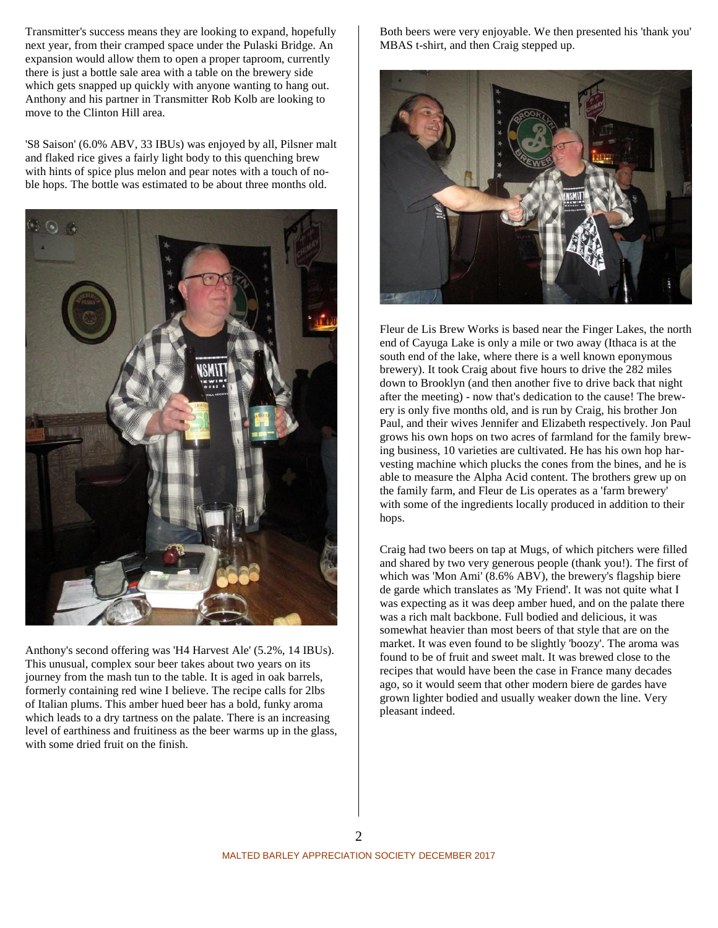Transmitter's success means they are looking to expand, hopefully next year, from their cramped space under the Pulaski Bridge. An expansion would allow them to open a proper taproom, currently there is just a bottle sale area with a table on the brewery side which gets snapped up quickly with anyone wanting to hang out. Anthony and his partner in Transmitter Rob Kolb are looking to move to the Clinton Hill area.

'S8 Saison' (6.0% ABV, 33 IBUs) was enjoyed by all, Pilsner malt and flaked rice gives a fairly light body to this quenching brew with hints of spice plus melon and pear notes with a touch of noble hops. The bottle was estimated to be about three months old.



Anthony's second offering was 'H4 Harvest Ale' (5.2%, 14 IBUs). This unusual, complex sour beer takes about two years on its journey from the mash tun to the table. It is aged in oak barrels, formerly containing red wine I believe. The recipe calls for 2lbs of Italian plums. This amber hued beer has a bold, funky aroma which leads to a dry tartness on the palate. There is an increasing level of earthiness and fruitiness as the beer warms up in the glass, with some dried fruit on the finish.

Both beers were very enjoyable. We then presented his 'thank you' MBAS t-shirt, and then Craig stepped up.



Fleur de Lis Brew Works is based near the Finger Lakes, the north end of Cayuga Lake is only a mile or two away (Ithaca is at the south end of the lake, where there is a well known eponymous brewery). It took Craig about five hours to drive the 282 miles down to Brooklyn (and then another five to drive back that night after the meeting) - now that's dedication to the cause! The brewery is only five months old, and is run by Craig, his brother Jon Paul, and their wives Jennifer and Elizabeth respectively. Jon Paul grows his own hops on two acres of farmland for the family brewing business, 10 varieties are cultivated. He has his own hop harvesting machine which plucks the cones from the bines, and he is able to measure the Alpha Acid content. The brothers grew up on the family farm, and Fleur de Lis operates as a 'farm brewery' with some of the ingredients locally produced in addition to their hops.

Craig had two beers on tap at Mugs, of which pitchers were filled and shared by two very generous people (thank you!). The first of which was 'Mon Ami' (8.6% ABV), the brewery's flagship biere de garde which translates as 'My Friend'. It was not quite what I was expecting as it was deep amber hued, and on the palate there was a rich malt backbone. Full bodied and delicious, it was somewhat heavier than most beers of that style that are on the market. It was even found to be slightly 'boozy'. The aroma was found to be of fruit and sweet malt. It was brewed close to the recipes that would have been the case in France many decades ago, so it would seem that other modern biere de gardes have grown lighter bodied and usually weaker down the line. Very pleasant indeed.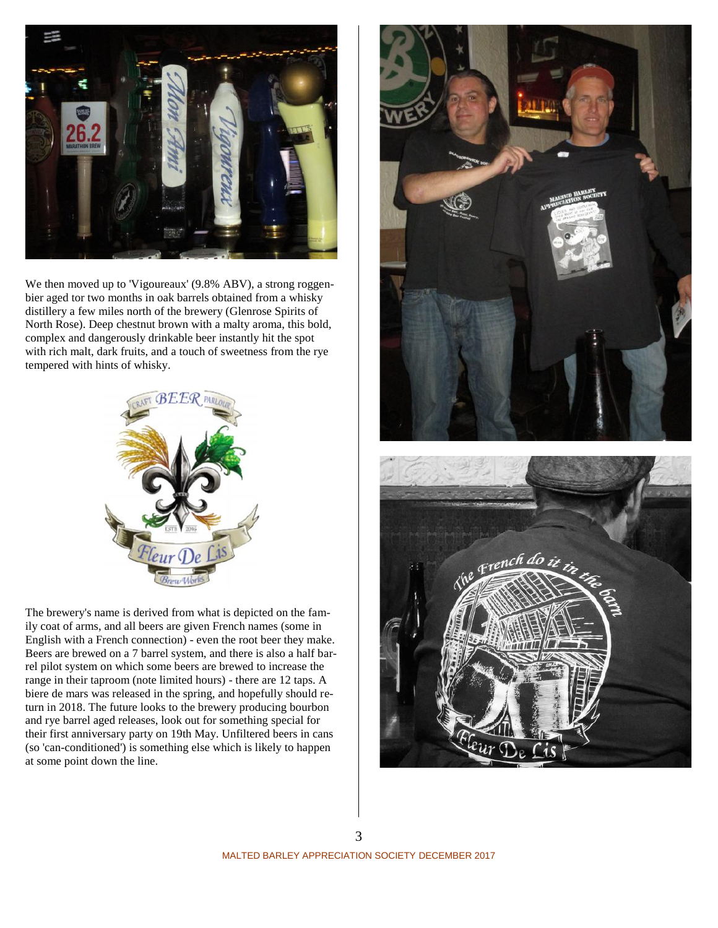

We then moved up to 'Vigoureaux' (9.8% ABV), a strong roggenbier aged tor two months in oak barrels obtained from a whisky distillery a few miles north of the brewery (Glenrose Spirits of North Rose). Deep chestnut brown with a malty aroma, this bold, complex and dangerously drinkable beer instantly hit the spot with rich malt, dark fruits, and a touch of sweetness from the rye tempered with hints of whisky.



The brewery's name is derived from what is depicted on the family coat of arms, and all beers are given French names (some in English with a French connection) - even the root beer they make. Beers are brewed on a 7 barrel system, and there is also a half barrel pilot system on which some beers are brewed to increase the range in their taproom (note limited hours) - there are 12 taps. A biere de mars was released in the spring, and hopefully should return in 2018. The future looks to the brewery producing bourbon and rye barrel aged releases, look out for something special for their first anniversary party on 19th May. Unfiltered beers in cans (so 'can-conditioned') is something else which is likely to happen at some point down the line.



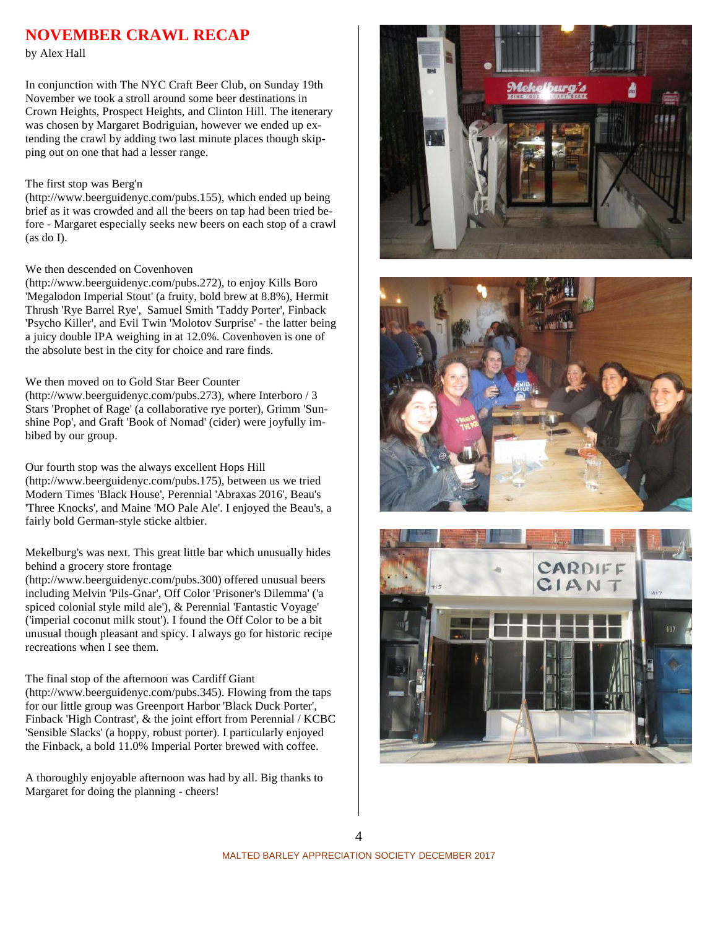## **NOVEMBER CRAWL RECAP**

by Alex Hall

In conjunction with The NYC Craft Beer Club, on Sunday 19th November we took a stroll around some beer destinations in Crown Heights, Prospect Heights, and Clinton Hill. The itenerary was chosen by Margaret Bodriguian, however we ended up extending the crawl by adding two last minute places though skipping out on one that had a lesser range.

#### The first stop was Berg'n

(http://www.beerguidenyc.com/pubs.155), which ended up being brief as it was crowded and all the beers on tap had been tried before - Margaret especially seeks new beers on each stop of a crawl (as do I).

#### We then descended on Covenhoven

(http://www.beerguidenyc.com/pubs.272), to enjoy Kills Boro 'Megalodon Imperial Stout' (a fruity, bold brew at 8.8%), Hermit Thrush 'Rye Barrel Rye', Samuel Smith 'Taddy Porter', Finback 'Psycho Killer', and Evil Twin 'Molotov Surprise' - the latter being a juicy double IPA weighing in at 12.0%. Covenhoven is one of the absolute best in the city for choice and rare finds.

#### We then moved on to Gold Star Beer Counter

(http://www.beerguidenyc.com/pubs.273), where Interboro / 3 Stars 'Prophet of Rage' (a collaborative rye porter), Grimm 'Sunshine Pop', and Graft 'Book of Nomad' (cider) were joyfully imbibed by our group.

Our fourth stop was the always excellent Hops Hill (http://www.beerguidenyc.com/pubs.175), between us we tried Modern Times 'Black House', Perennial 'Abraxas 2016', Beau's 'Three Knocks', and Maine 'MO Pale Ale'. I enjoyed the Beau's, a fairly bold German-style sticke altbier.

#### Mekelburg's was next. This great little bar which unusually hides behind a grocery store frontage

(http://www.beerguidenyc.com/pubs.300) offered unusual beers including Melvin 'Pils-Gnar', Off Color 'Prisoner's Dilemma' ('a spiced colonial style mild ale'), & Perennial 'Fantastic Voyage' ('imperial coconut milk stout'). I found the Off Color to be a bit unusual though pleasant and spicy. I always go for historic recipe recreations when I see them.

#### The final stop of the afternoon was Cardiff Giant

(http://www.beerguidenyc.com/pubs.345). Flowing from the taps for our little group was Greenport Harbor 'Black Duck Porter', Finback 'High Contrast', & the joint effort from Perennial / KCBC 'Sensible Slacks' (a hoppy, robust porter). I particularly enjoyed the Finback, a bold 11.0% Imperial Porter brewed with coffee.

A thoroughly enjoyable afternoon was had by all. Big thanks to Margaret for doing the planning - cheers!





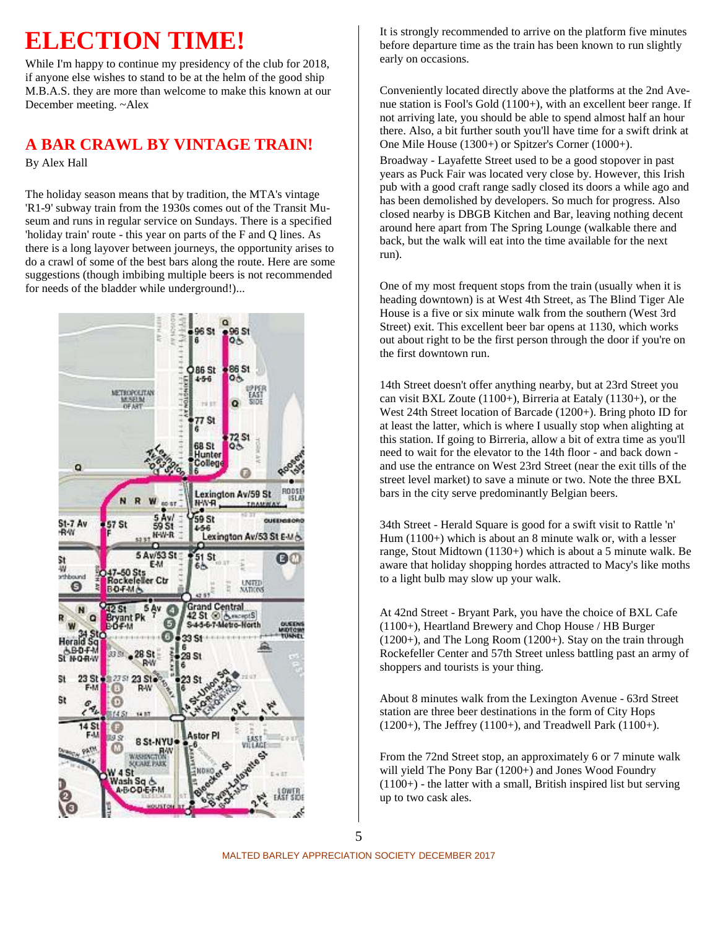# **ELECTION TIME!**

While I'm happy to continue my presidency of the club for 2018, if anyone else wishes to stand to be at the helm of the good ship M.B.A.S. they are more than welcome to make this known at our December meeting. ~Alex

# **A BAR CRAWL BY VINTAGE TRAIN!** By Alex Hall

The holiday season means that by tradition, the MTA's vintage 'R1-9' subway train from the 1930s comes out of the Transit Museum and runs in regular service on Sundays. There is a specified 'holiday train' route - this year on parts of the F and Q lines. As there is a long layover between journeys, the opportunity arises to do a crawl of some of the best bars along the route. Here are some suggestions (though imbibing multiple beers is not recommended for needs of the bladder while underground!)...



It is strongly recommended to arrive on the platform five minutes before departure time as the train has been known to run slightly early on occasions.

Conveniently located directly above the platforms at the 2nd Avenue station is Fool's Gold (1100+), with an excellent beer range. If not arriving late, you should be able to spend almost half an hour there. Also, a bit further south you'll have time for a swift drink at One Mile House (1300+) or Spitzer's Corner (1000+).

Broadway - Layafette Street used to be a good stopover in past years as Puck Fair was located very close by. However, this Irish pub with a good craft range sadly closed its doors a while ago and has been demolished by developers. So much for progress. Also closed nearby is DBGB Kitchen and Bar, leaving nothing decent around here apart from The Spring Lounge (walkable there and back, but the walk will eat into the time available for the next run).

One of my most frequent stops from the train (usually when it is heading downtown) is at West 4th Street, as The Blind Tiger Ale House is a five or six minute walk from the southern (West 3rd Street) exit. This excellent beer bar opens at 1130, which works out about right to be the first person through the door if you're on the first downtown run.

14th Street doesn't offer anything nearby, but at 23rd Street you can visit BXL Zoute (1100+), Birreria at Eataly (1130+), or the West 24th Street location of Barcade (1200+). Bring photo ID for at least the latter, which is where I usually stop when alighting at this station. If going to Birreria, allow a bit of extra time as you'll need to wait for the elevator to the 14th floor - and back down and use the entrance on West 23rd Street (near the exit tills of the street level market) to save a minute or two. Note the three BXL bars in the city serve predominantly Belgian beers.

34th Street - Herald Square is good for a swift visit to Rattle 'n' Hum (1100+) which is about an 8 minute walk or, with a lesser range, Stout Midtown (1130+) which is about a 5 minute walk. Be aware that holiday shopping hordes attracted to Macy's like moths to a light bulb may slow up your walk.

At 42nd Street - Bryant Park, you have the choice of BXL Cafe (1100+), Heartland Brewery and Chop House / HB Burger (1200+), and The Long Room (1200+). Stay on the train through Rockefeller Center and 57th Street unless battling past an army of shoppers and tourists is your thing.

About 8 minutes walk from the Lexington Avenue - 63rd Street station are three beer destinations in the form of City Hops  $(1200+)$ , The Jeffrey  $(1100+)$ , and Treadwell Park  $(1100+)$ .

From the 72nd Street stop, an approximately 6 or 7 minute walk will yield The Pony Bar (1200+) and Jones Wood Foundry  $(1100+)$  - the latter with a small, British inspired list but serving up to two cask ales.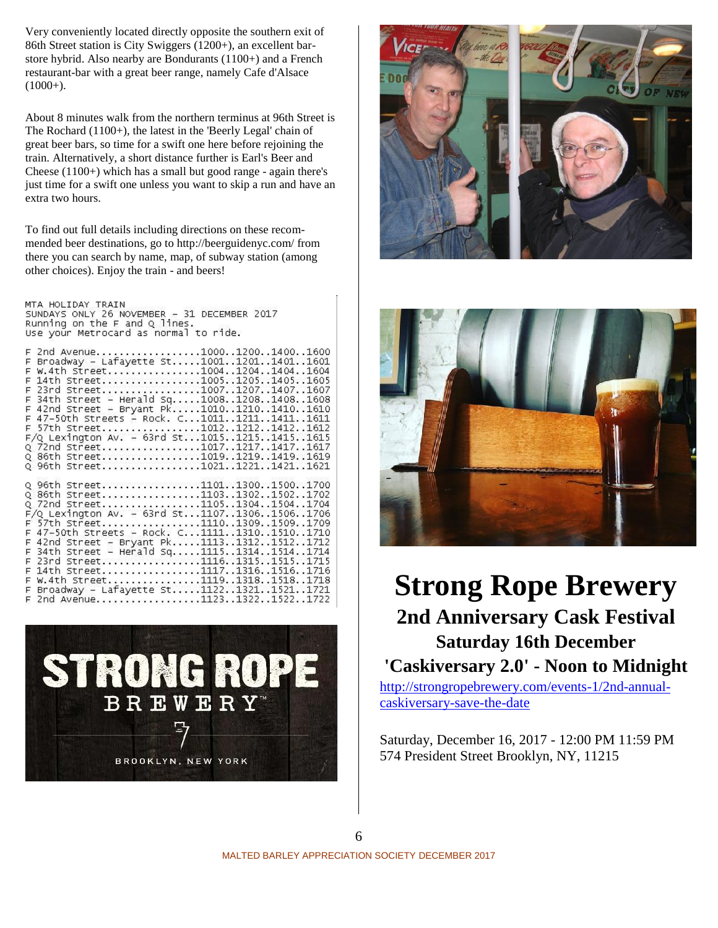Very conveniently located directly opposite the southern exit of 86th Street station is City Swiggers (1200+), an excellent bar store hybrid. Also nearby are Bondurants (1100+) and a French restaurant-bar with a great beer range, namely Cafe d'Alsace  $(1000+)$ .

About 8 minutes walk from the northern terminus at 96th Street is The Rochard (1100+), the latest in the 'Beerly Legal' chain of great beer bars, so time for a swift one here before rejoining the train. Alternatively, a short distance further is Earl's Beer and Cheese (1100+) which has a small but good range - again there's just time for a swift one unless you want to skip a run and have an extra two hours.

To find out full details including directions on these recommended beer destinations, go to http://beerguidenyc.com/ from there you can search by name, map, of subway station (among other choices). Enjoy the train - and beers!

MTA HOLIDAY TRAIN<br>SUNDAYS ONLY 26 NOVEMBER – 31 DECEMBER 2017<br>Running on the F and Q lines.<br>Use your Metrocard as normal to ride.

|   | F 2nd Avenue1000120014001600                                                 |
|---|------------------------------------------------------------------------------|
|   | F Broadway - Lafayette St1001120114011601                                    |
|   | F W.4th Street1004120414041604                                               |
| Е | 14th Street1005120514051605                                                  |
|   | F 23rd Street1007120714071607                                                |
|   |                                                                              |
|   | F 34th Street - Herald Sq1008120814081608                                    |
|   | F 42nd Street – Bryant Pk1010121014101610                                    |
|   | F 47-50th Streets - Rock. C1011121114111611                                  |
|   |                                                                              |
|   | F 57th Street1012121214121612<br>F/Q Lexington Av. – 63rd St1015121514151615 |
|   | Q 72nd Street1017121714171617                                                |
|   | Q 86th Street1019121914191619                                                |
|   | Q 96th Street1021122114211621                                                |
|   |                                                                              |
|   | Q 96th Street1101130015001700                                                |
|   | Q 86th Street1103130215021702                                                |
|   |                                                                              |
|   | Q 72nd Street1105130415041704                                                |
|   | F/Q Lexington Av. - 63rd St1107130615061706                                  |
|   | F 57th Street1110130915091709                                                |
|   | F 47–50th Streets – Rock. C1111131015101710                                  |
|   | F 42nd Street - Bryant Pk1113131215121712                                    |
|   | F 34th Street - Herald Sq1115131415141714                                    |
|   | F 23rd Street1116131515151715                                                |
|   | F 14th Street1117131615161716                                                |
|   | F W.4th Street1119131815181718                                               |
|   | F Broadway – Lafayette St1122132115211721                                    |
|   |                                                                              |
|   |                                                                              |







# **Strong Rope Brewery 2nd Anniversary Cask Festival Saturday 16th December 'Caskiversary 2.0' - Noon to Midnight**

http://strongropebrewery.com/events-1/2nd-annual caskiversary-save-the-date

Saturday, December 16, 2017 - 12:00 PM 11:59 PM 574 President Street Brooklyn, NY, 11215